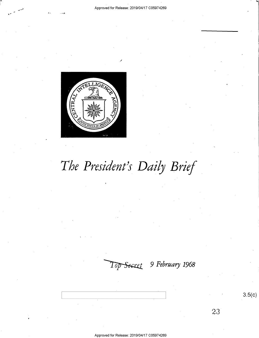

# The President's Daily Brief

Top Secret 9 February 1968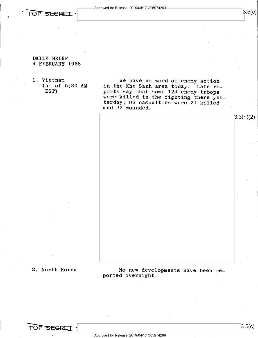



 $3.5(c)$ 

3.3(h)(2)

# DAILY BRIEF 9 FEBRUARY 1968

1. Vietnam We have no word of enemy action<br>(as of 5:30 AM in the Khe Sanh area today. Late re-(EST) ports say that some 124 enemy troops were killed in the fighting there yesterday; US casualties were 21 killed and 27 wounded.

2. North Korea 120 No new developments have been reported overnight.

TOP SEGRET

 $\mathsf{L}$ 

 $3.5(c)$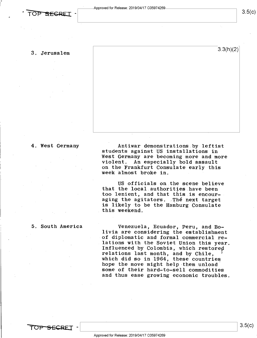## 3. Jerusalem

3.3(h)(2)

### 4. West Germany

Antiwar demonstrations by leftist students against US installations in West Germany are becoming more and more violent. An especially bold assault on the Frankfurt Consulate early this week almost broke in.

US officials on the scene believe that the local authorities have been<br>too lenient, and that this is encouraging the agitators. The next target is likely to be the Hamburg Consulate this weekend.

### 5. South America

Venezuela, Ecuador, Peru, and Bo-<br>livia are considering the establishment<br>of diplomatic and formal commercial re-<br>lations with the Soviet Union this year. Influenced by Colombia, which restored<br>relations last month, and by Chile, '<br>which did so in 1964, these countries hope the move might help them unload<br>some of their hard-to-sell commodities<br>and thus ease growing economic troubles.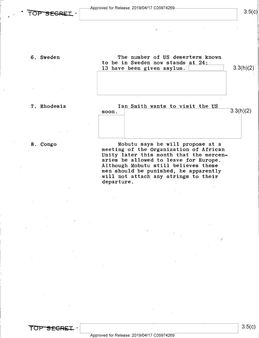Approved for Release: 2019/O4/17 CO5974269

# $\overline{OP}$  SEGRET -  $\begin{vmatrix} 3.5(c) \end{vmatrix}$

6. Sweden The number of US deserters known to be in Sweden now stands at  $24$ : 13 have been given asylum.  $\boxed{\qquad \qquad} \qquad \qquad}$  3.3(h)(2)

K

7. Rhodesia  $\begin{array}{c|c} \text{I an Smith wants to visit the US} \\ \text{soon.} \end{array}$ **soon.**  $3.3(h)(2)$ 

8. Congo Mobutu says he will propose at a meeting of the Organization of African Unity later this month that the mercenaries be allowed to leave for Europe. Although Mobutu still believes these men should be punished, he apparently will not attach any strings to their departure.

/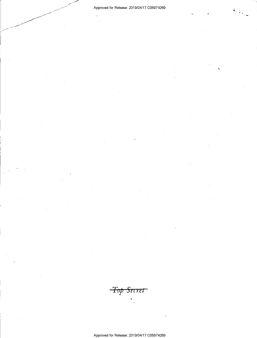X

Top Secret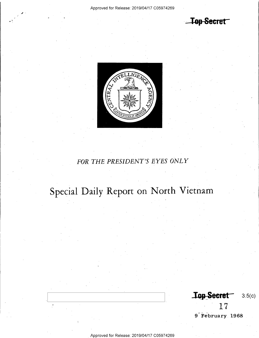**Top Secret** 



# FOR THE PRESIDENT'S EYES ONLY

# Special Daily Report on North Vietnam

Top-Secret  $3.5(c)$ 17

9 February 1968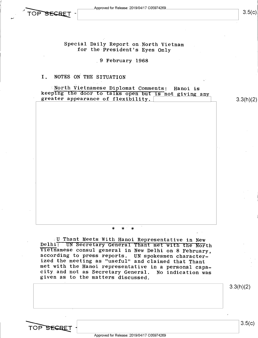$\begin{array}{|c|c|c|c|c|} \hline \text{TOP SEGRET} & & & 3.5(c) \ \hline \end{array}$ 

# Special Daily Report.on North Vietnam .for the President's Eyes Only

,9 February 1968

# I. NOTES ON THE SITUATION

Worth Vietnamese Diplomat Comments: Hanoi is<br>keeping the door to talks open but is not giving any<br>greater appearance of flexibility.<br>  $\begin{array}{|l|l|}\n3.3(h)(2)\n\end{array}$ 

## \* \*~ \*

U Thant Meets With Hanoi Representative in New<br>Delhi: UN Secretary General Thant met with the North<br>Vietnamese consul general in New Delhi on 8 February,<br>according to press reports. UN spokesmen character-<br>ized the meeting

3.3(h)(2)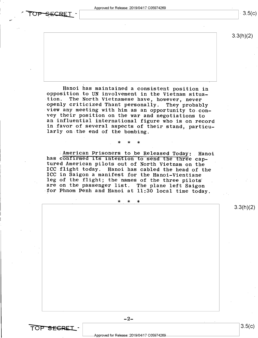Approved for Release: 2019/04/17 C05974269

 $\mathbf{r} = \mathbf{r} \cdot \mathbf{r}$  , where  $\mathbf{r} = \mathbf{r} \cdot \mathbf{r}$  , where  $\mathbf{r} = \mathbf{r} \cdot \mathbf{r}$ 

SECRET

TOP SEGRET

 $3.5(c)$ 

3.3(h)(2)

Hanoi has maintained a consistent position in opposition to UN involvement in the Vietnam situa-<br>tion. The North Vietnamese have, however, never openly criticized Thant personally. They probably<br>view any meeting with him as an opportunity to con-<br>vey their position on the war and negotiations to<br>an influential international figure who is on record in favor of several aspects of their stand, particu- larly on the end of the bombing.

has confirmed its intention to send the three cap-<br>tured American pilots out of North Vietnam on the : American Prisoners to be Released Today: Hanoi has confirmed its intention to send the three cap-<br>tured American pilots out of North Vietnam on the ICC flight today. Hanoi has cabled the head of the ICC in Saigon a manifest for the Hanoi-Vientiane leg of the flight; the names of the three pilots are on the passenger list. The plane left Saigon ICC flight today. Hanoi has cabled the head of the<br>ICC in Saigon a manifest for the Hanoi-Vientiane<br>leg of the flight; the names of the three pilots<br>are on the passenger list. The plane left Saigon<br>for Phnom Penh and Hanoi

\_ \* \* \*

\* \* \*

3.3(h)(2)

 $-2-$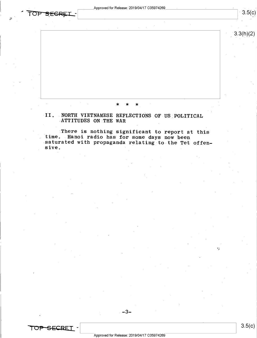. Approved for Release: 2019/04/17 C05974269 \*

 $3.3(h)(2)$ 

 $3.5(c)$ 

 $\mathbf{x} \times \mathbf{x} \times \mathbf{x}$ 

»II. .NORTH VIETNAMESE REFLECTIONS OF US PQLITICAL »ATTITUDES ON THE WAR

There is nothing significant to report at this time. Hanoi radio has for some days now been saturated with propaganda relating to the Tet offen-<br>sive.

 $-3-$ 

/

 $\sigma$ 

"

JP SEGREI

I r